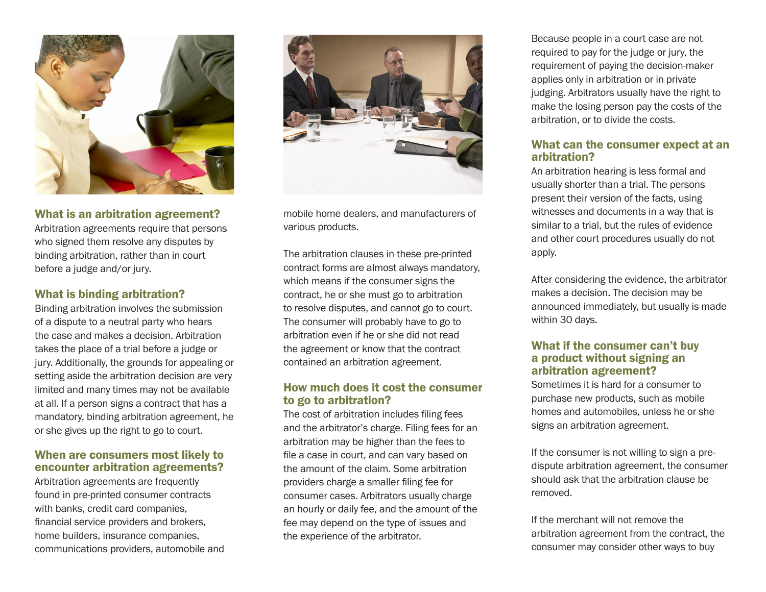

#### What is an arbitration agreement?

Arbitration agreements require that persons who signed them resolve any disputes by binding arbitration, rather than in court before a judge and/or jury.

### What is binding arbitration?

Binding arbitration involves the submission of a dispute to a neutral party who hears the case and makes a decision. Arbitration takes the place of a trial before a judge or jury. Additionally, the grounds for appealing or setting aside the arbitration decision are very limited and many times may not be available at all. If a person signs a contract that has a mandatory, binding arbitration agreement, he or she gives up the right to go to court.

## When are consumers most likely to encounter arbitration agreements?

Arbitration agreements are frequently found in pre-printed consumer contracts with banks, credit card companies, financial service providers and brokers, home builders, insurance companies, communications providers, automobile and



mobile home dealers, and manufacturers of various products.

The arbitration clauses in these pre-printed contract forms are almost always mandatory, which means if the consumer signs the contract, he or she must go to arbitration to resolve disputes, and cannot go to court. The consumer will probably have to go to arbitration even if he or she did not read the agreement or know that the contract contained an arbitration agreement.

#### How much does it cost the consumer to go to arbitration?

The cost of arbitration includes filing fees and the arbitrator's charge. Filing fees for an arbitration may be higher than the fees to file a case in court, and can vary based on the amount of the claim. Some arbitration providers charge a smaller filing fee for consumer cases. Arbitrators usually charge an hourly or daily fee, and the amount of the fee may depend on the type of issues and the experience of the arbitrator.

Because people in a court case are not required to pay for the judge or jury, the requirement of paying the decision-maker applies only in arbitration or in private judging. Arbitrators usually have the right to make the losing person pay the costs of the arbitration, or to divide the costs.

# What can the consumer expect at an arbitration?

An arbitration hearing is less formal and usually shorter than a trial. The persons present their version of the facts, using witnesses and documents in a way that is similar to a trial, but the rules of evidence and other court procedures usually do not apply.

After considering the evidence, the arbitrator makes a decision. The decision may be announced immediately, but usually is made within 30 days.

## What if the consumer can't buy a product without signing an arbitration agreement?

Sometimes it is hard for a consumer to purchase new products, such as mobile homes and automobiles, unless he or she signs an arbitration agreement.

If the consumer is not willing to sign a predispute arbitration agreement, the consumer should ask that the arbitration clause be removed.

If the merchant will not remove the arbitration agreement from the contract, the consumer may consider other ways to buy